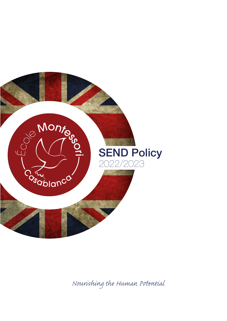

*Nourishing the Human Pential*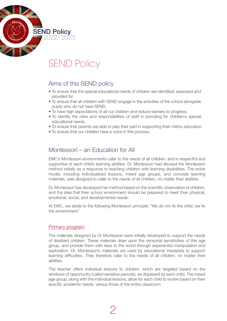

# SEND Policy

## Aims of this SEND policy

- To ensure that the special educational needs of children are identified, assessed and provided for.
- To ensure that all children with SEND engage in the activities of the school alongside pupils who do not have SEND.
- To have high expectations of all our children and reduce barriers to progress.
- To identify the roles and responsibilities of staff in providing for children<sup>'s</sup> special educational needs.
- To ensure that parents are able to play their part in supporting their child<sup>3</sup> education.
- To ensure that our children have a voice in this process.

# Montessori – an Education for All

EMC's Montessori environments cater to the needs of all children, and is respectful and supportive of each child's learning abilities. Dr. Montessori had devised the Montessori method initially as a response to teaching children with learning disabilities. The entire model, including individualized lessons, mixed age groups, and concrete learning materials, was designed to cater to the needs of all children, no matter their abilities.

Dr. Montessori has developed her method based on the scientific observation of children, and the idea that their school environment should be prepared to meet their physical, emotional, social, and developmental needs.

At EMC, we abide to the following Montessori principle: "We do not fix the child, we fix the environment."

## Primary program

The materials designed by Dr Montessori were initially developed to support the needs of disabled children. These materials draw upon the sensorial sensitivities of this age group, and provide them with keys to the world through experiential manipulation and exploration. Dr. Montessori's materials are used by educational therapists to support learning difficulties. They therefore cater to the needs of all children, no matter their abilities.

The teacher offers individual lessons to children, which are targeted based on the windows of opportunity (called sensitive periods), as displayed by each child. The mixed age group, along with the individual lessons, allow for each child to evolve based on their specific academic needs, versus those of the entire classroom.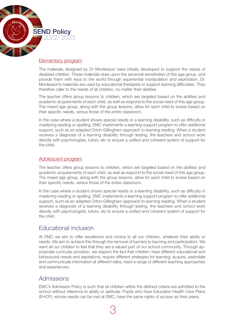

#### Elementary program

The materials designed by Dr Montessori were initially developed to support the needs of disabled children. These materials draw upon the sensorial sensitivities of this age group, and provide them with keys to the world through experiential manipulation and exploration. Dr. Montessori's materials are used by educational therapists to support learning difficulties. They therefore cater to the needs of all children, no matter their abilities.

The teacher offers group lessons to children, which are targeted based on the abilities and academic acquirements of each child, as well as respond to the social need of this age group. The mixed age group, along with the group lessons, allow for each child to evolve based on their specific needs, versus those of the entire classroom.

In the case where a student shows special needs or a learning disability, such as difficulty in mastering reading or spelling, EMC implements a learning support program to offer additional support, such as an adapted Orton-Gillingham approach to learning reading. When a student receives a diagnosis of a learning disability through testing, the teachers and school work directly with psychologists, tutors, etc to ensure a unified and coherent system of support for the child.

#### Adolescent program

The teacher offers group lessons to children, which are targeted based on the abilities and academic acquirements of each child, as well as respond to the social need of this age group. The mixed age group, along with the group lessons, allow for each child to evolve based on their specific needs, versus those of the entire classroom.

In the case where a student shows special needs or a learning disability, such as difficulty in mastering reading or spelling, EMC implements a learning support program to offer additional support, such as an adapted Orton-Gillingham approach to learning reading. When a student receives a diagnosis of a learning disability through testing, the teachers and school work directly with psychologists, tutors, etc to ensure a unified and coherent system of support for the child.

## Educational inclusion

At EMC we aim to offer excellence and choice to all our children, whatever their ability or needs. We aim to achieve this through the removal of barriers to learning and participation. We want all our children to feel that they are a valued part of our school community. Through appropriate curricular provision, we respect the fact that children: have different educational and behavioural needs and aspirations; require different strategies for learning; acquire, assimilate and communicate information at different rates; need a range of different teaching approaches and experiences.

## Admissions

EMC's Admission Policy is such that all children within the defined criteria are admitted to the school without reference to ability or aptitude. Pupils who have Education Health Care Plans (EHCP), whose needs can be met at EMC, have the same rights of access as their peers.